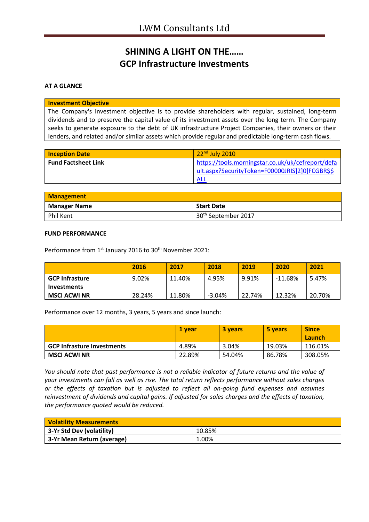# **SHINING A LIGHT ON THE…… GCP Infrastructure Investments**

**AT A GLANCE**

#### **Investment Objective**

The Company's investment objective is to provide shareholders with regular, sustained, long-term dividends and to preserve the capital value of its investment assets over the long term. The Company seeks to generate exposure to the debt of UK infrastructure Project Companies, their owners or their lenders, and related and/or similar assets which provide regular and predictable long-term cash flows.

| <b>Inception Date</b>      | $22nd$ July 2010                                                                                            |
|----------------------------|-------------------------------------------------------------------------------------------------------------|
| <b>Fund Factsheet Link</b> | https://tools.morningstar.co.uk/uk/cefreport/defa<br>ult.aspx?SecurityToken=F00000JRIS]2]0]FCGBR\$\$<br>ALL |

| <b>Management</b>   |                                 |  |
|---------------------|---------------------------------|--|
| <b>Manager Name</b> | <b>Start Date</b>               |  |
| Phil Kent           | 30 <sup>th</sup> September 2017 |  |

#### **FUND PERFORMANCE**

Performance from 1<sup>st</sup> January 2016 to 30<sup>th</sup> November 2021:

|                       | 2016   | 2017   | 2018     | 2019   | 2020    | 2021   |
|-----------------------|--------|--------|----------|--------|---------|--------|
| <b>GCP Infrasture</b> | 9.02%  | 11.40% | 4.95%    | 9.91%  | -11.68% | 5.47%  |
| Investments           |        |        |          |        |         |        |
| <b>MSCI ACWI NR</b>   | 28.24% | 11.80% | $-3.04%$ | 22.74% | 12.32%  | 20.70% |

Performance over 12 months, 3 years, 5 years and since launch:

|                                   | 1 vear | <b>3 years</b> | 5 years | <b>Since</b><br>Launch |
|-----------------------------------|--------|----------------|---------|------------------------|
| <b>GCP Infrasture Investments</b> | 4.89%  | 3.04%          | 19.03%  | 116.01%                |
| <b>MSCI ACWI NR</b>               | 22.89% | 54.04%         | 86.78%  | 308.05%                |

*You should note that past performance is not a reliable indicator of future returns and the value of your investments can fall as well as rise. The total return reflects performance without sales charges or the effects of taxation but is adjusted to reflect all on-going fund expenses and assumes reinvestment of dividends and capital gains. If adjusted for sales charges and the effects of taxation, the performance quoted would be reduced.*

| <b>Volatility Measurements</b> |        |  |
|--------------------------------|--------|--|
| 3-Yr Std Dev (volatility)      | 10.85% |  |
| 3-Yr Mean Return (average)     | 1.00%  |  |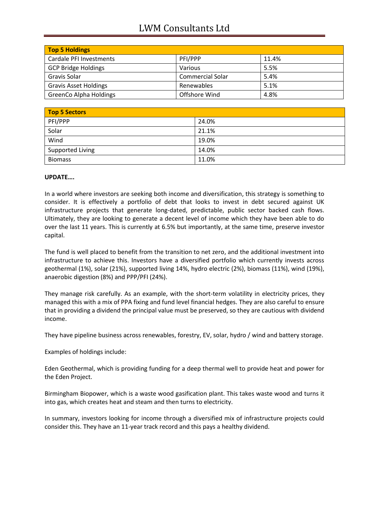## LWM Consultants Ltd

| <b>Top 5 Holdings</b>         |                         |       |
|-------------------------------|-------------------------|-------|
| Cardale PFI Investments       | PFI/PPP                 | 11.4% |
| <b>GCP Bridge Holdings</b>    | Various                 | 5.5%  |
| Gravis Solar                  | <b>Commercial Solar</b> | 5.4%  |
| <b>Gravis Asset Holdings</b>  | <b>Renewables</b>       | 5.1%  |
| <b>GreenCo Alpha Holdings</b> | Offshore Wind           | 4.8%  |

| <b>Top 5 Sectors</b> |       |  |
|----------------------|-------|--|
| PFI/PPP              | 24.0% |  |
| Solar                | 21.1% |  |
| Wind                 | 19.0% |  |
| Supported Living     | 14.0% |  |
| <b>Biomass</b>       | 11.0% |  |

### **UPDATE….**

In a world where investors are seeking both income and diversification, this strategy is something to consider. It is effectively a portfolio of debt that looks to invest in debt secured against UK infrastructure projects that generate long-dated, predictable, public sector backed cash flows. Ultimately, they are looking to generate a decent level of income which they have been able to do over the last 11 years. This is currently at 6.5% but importantly, at the same time, preserve investor capital.

The fund is well placed to benefit from the transition to net zero, and the additional investment into infrastructure to achieve this. Investors have a diversified portfolio which currently invests across geothermal (1%), solar (21%), supported living 14%, hydro electric (2%), biomass (11%), wind (19%), anaerobic digestion (8%) and PPP/PFI (24%).

They manage risk carefully. As an example, with the short-term volatility in electricity prices, they managed this with a mix of PPA fixing and fund level financial hedges. They are also careful to ensure that in providing a dividend the principal value must be preserved, so they are cautious with dividend income.

They have pipeline business across renewables, forestry, EV, solar, hydro / wind and battery storage.

Examples of holdings include:

Eden Geothermal, which is providing funding for a deep thermal well to provide heat and power for the Eden Project.

Birmingham Biopower, which is a waste wood gasification plant. This takes waste wood and turns it into gas, which creates heat and steam and then turns to electricity.

In summary, investors looking for income through a diversified mix of infrastructure projects could consider this. They have an 11-year track record and this pays a healthy dividend.